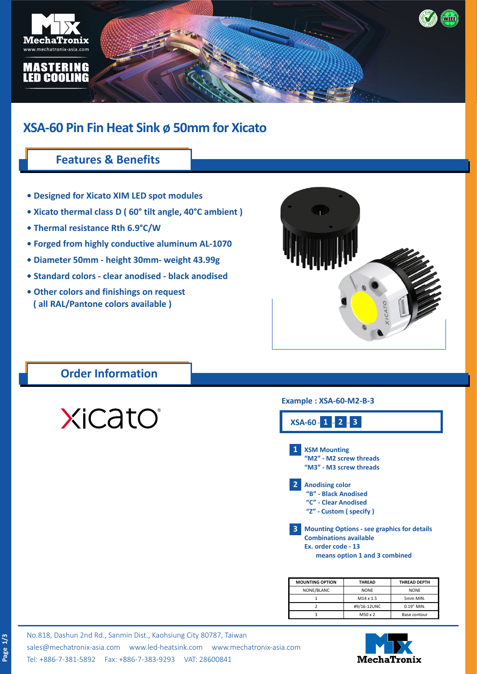

### **XSA-60 Pin Fin Heat Sink ø 50mm for Xicato**

#### **Features & Benefits**

- **Designed for Xicato XIM LED spot modules**
- **Xicato thermal class D ( 60° tilt angle, 40°C ambient )**
- **Thermal resistance Rth 6.9°C/W**
- **Forged from highly conductive aluminum AL-1070**
- **Diameter 50mm height 30mm- weight 43.99g**
- **Standard colors clear anodised black anodised**
- **Other colors and finishings on request ( all RAL/Pantone colors available )**



#### **Order Information**

XiCatO®

#### **Example : XSA-60-M2-B-3**



| <b>MOUNTING OPTION</b> | <b>THREAD</b> | <b>THREAD DEPTH</b> |  |
|------------------------|---------------|---------------------|--|
| NONE/BLANC             | <b>NONE</b>   | <b>NONE</b>         |  |
|                        | M14 x 1.5     | 5mm MIN.            |  |
|                        | #9/16-12UNC   | 0.19" MIN.          |  |
|                        | M50 x 2       | Base contour        |  |

No.818, Dashun 2nd Rd., Sanmin Dist., Kaohsiung City 80787, Taiwan [sales@mechatronix-asia.com](mailto:sales%40mechatronix-asia.com?subject=) [www.led-heatsink.com](http://www.led-heatsink.com) [www.mechatronix-asia.com](http://www.mechatronix-asia.com) Tel: +886-7-381-5892 Fax: +886-7-383-9293 VAT: 28600841

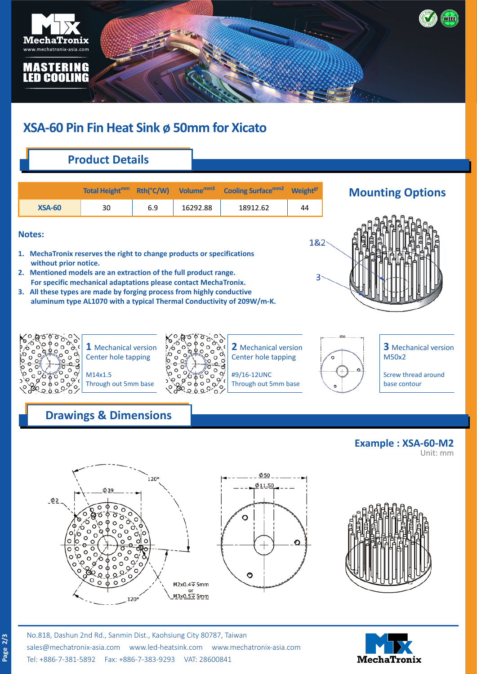

# **XSA-60 Pin Fin Heat Sink ø 50mm for Xicato**

## **Product Details**

|               | Total Height <sup>mm</sup> |     | Rth(°C/W) Volume <sup>mm3</sup> | Cooling Surface <sup>mm2</sup> | <b>Weight<sup>gr</sup></b> |
|---------------|----------------------------|-----|---------------------------------|--------------------------------|----------------------------|
| <b>XSA-60</b> | 30                         | 6.9 | 16292.88                        | 18912.62                       | 44                         |

#### **Notes:**

- **1. MechaTronix reserves the right to change products or specifications without prior notice.**
- **2. Mentioned models are an extraction of the full product range. For specific mechanical adaptations please contact MechaTronix.**
- **3. All these types are made by forging process from highly conductive aluminum type AL1070 with a typical Thermal Conductivity of 209W/m-K.**







**1** Mechanical version Center hole tapping

M14x1.5 Through out 5mm base



**2** Mechanical version Center hole tapping

#9/16-12UNC Through out 5mm base

**3** Mechanical version M50x2

Screw thread around base contour

**Example : XSA-60-M2**

Unit: mm

### **Drawings & Dimensions**





 $\varphi$ 50



**MechaTronix**